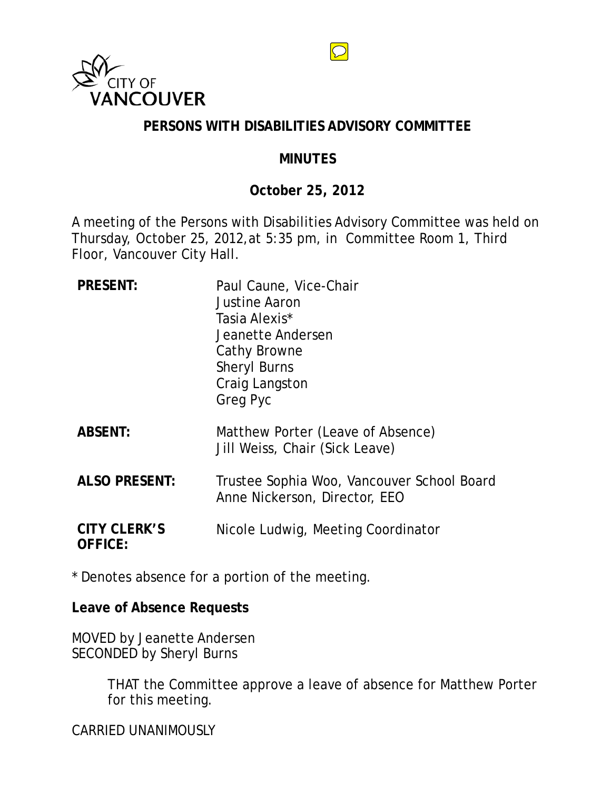

### **PERSONS WITH DISABILITIES ADVISORY COMMITTEE**

#### **MINUTES**

### **October 25, 2012**

A meeting of the Persons with Disabilities Advisory Committee was held on Thursday, October 25, 2012,at 5:35 pm, in Committee Room 1, Third Floor, Vancouver City Hall.

| <b>PRESENT:</b>                       | Paul Caune, Vice-Chair<br><b>Justine Aaron</b><br>Tasia Alexis*<br>Jeanette Andersen<br>Cathy Browne<br><b>Sheryl Burns</b><br>Craig Langston<br><b>Greg Pyc</b> |
|---------------------------------------|------------------------------------------------------------------------------------------------------------------------------------------------------------------|
| <b>ABSENT:</b>                        | Matthew Porter (Leave of Absence)<br>Jill Weiss, Chair (Sick Leave)                                                                                              |
| <b>ALSO PRESENT:</b>                  | Trustee Sophia Woo, Vancouver School Board<br>Anne Nickerson, Director, EEO                                                                                      |
| <b>CITY CLERK'S</b><br><b>OFFICE:</b> | Nicole Ludwig, Meeting Coordinator                                                                                                                               |

\* Denotes absence for a portion of the meeting.

**Leave of Absence Requests**

MOVED by Jeanette Andersen SECONDED by Sheryl Burns

> THAT the Committee approve a leave of absence for Matthew Porter for this meeting.

CARRIED UNANIMOUSLY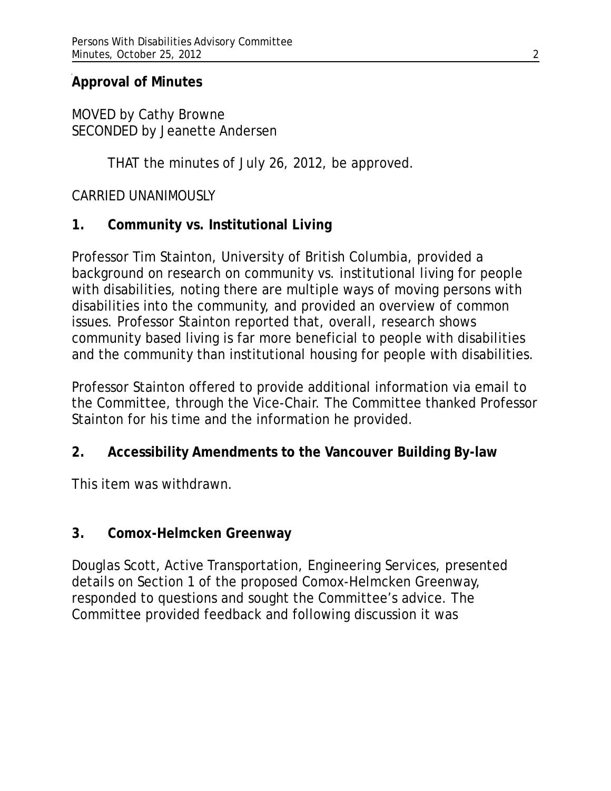## **Approval of Minutes**

MOVED by Cathy Browne SECONDED by Jeanette Andersen

THAT the minutes of July 26, 2012, be approved.

## CARRIED UNANIMOUSLY

## **1. Community vs. Institutional Living**

Professor Tim Stainton, University of British Columbia, provided a background on research on community vs. institutional living for people with disabilities, noting there are multiple ways of moving persons with disabilities into the community, and provided an overview of common issues. Professor Stainton reported that, overall, research shows community based living is far more beneficial to people with disabilities and the community than institutional housing for people with disabilities.

Professor Stainton offered to provide additional information via email to the Committee, through the Vice-Chair. The Committee thanked Professor Stainton for his time and the information he provided.

# **2. Accessibility Amendments to the Vancouver Building By-law**

This item was withdrawn.

## **3. Comox-Helmcken Greenway**

Douglas Scott, Active Transportation, Engineering Services, presented details on Section 1 of the proposed Comox-Helmcken Greenway, responded to questions and sought the Committee's advice. The Committee provided feedback and following discussion it was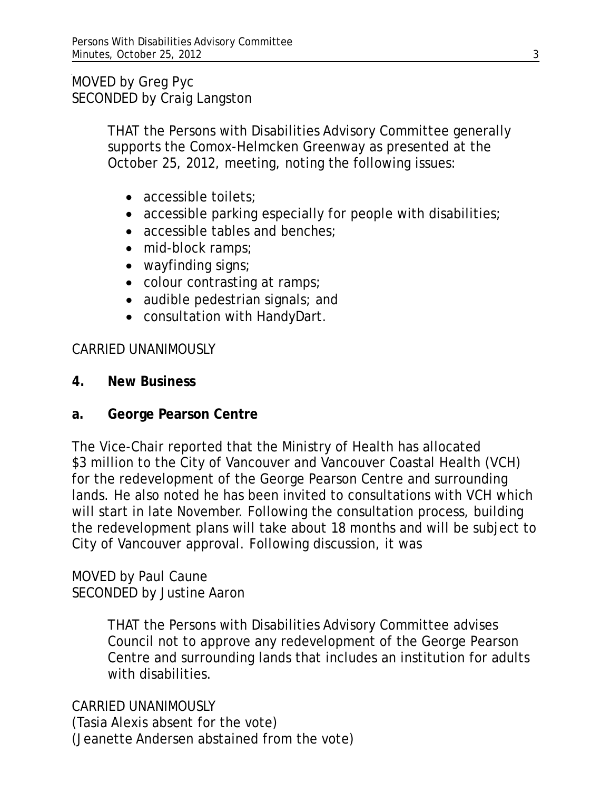MOVED by Greg Pyc SECONDED by Craig Langston

> THAT the Persons with Disabilities Advisory Committee generally supports the Comox-Helmcken Greenway as presented at the October 25, 2012, meeting, noting the following issues:

- accessible toilets;
- accessible parking especially for people with disabilities;
- accessible tables and benches;
- mid-block ramps;
- wayfinding signs;
- colour contrasting at ramps;
- audible pedestrian signals; and
- consultation with HandyDart.

## CARRIED UNANIMOUSLY

- **4. New Business**
- **a. George Pearson Centre**

The Vice-Chair reported that the Ministry of Health has allocated \$3 million to the City of Vancouver and Vancouver Coastal Health (VCH) for the redevelopment of the George Pearson Centre and surrounding lands. He also noted he has been invited to consultations with VCH which will start in late November. Following the consultation process, building the redevelopment plans will take about 18 months and will be subject to City of Vancouver approval. Following discussion, it was

MOVED by Paul Caune SECONDED by Justine Aaron

> THAT the Persons with Disabilities Advisory Committee advises Council not to approve any redevelopment of the George Pearson Centre and surrounding lands that includes an institution for adults with disabilities.

CARRIED UNANIMOUSLY (Tasia Alexis absent for the vote) (Jeanette Andersen abstained from the vote)